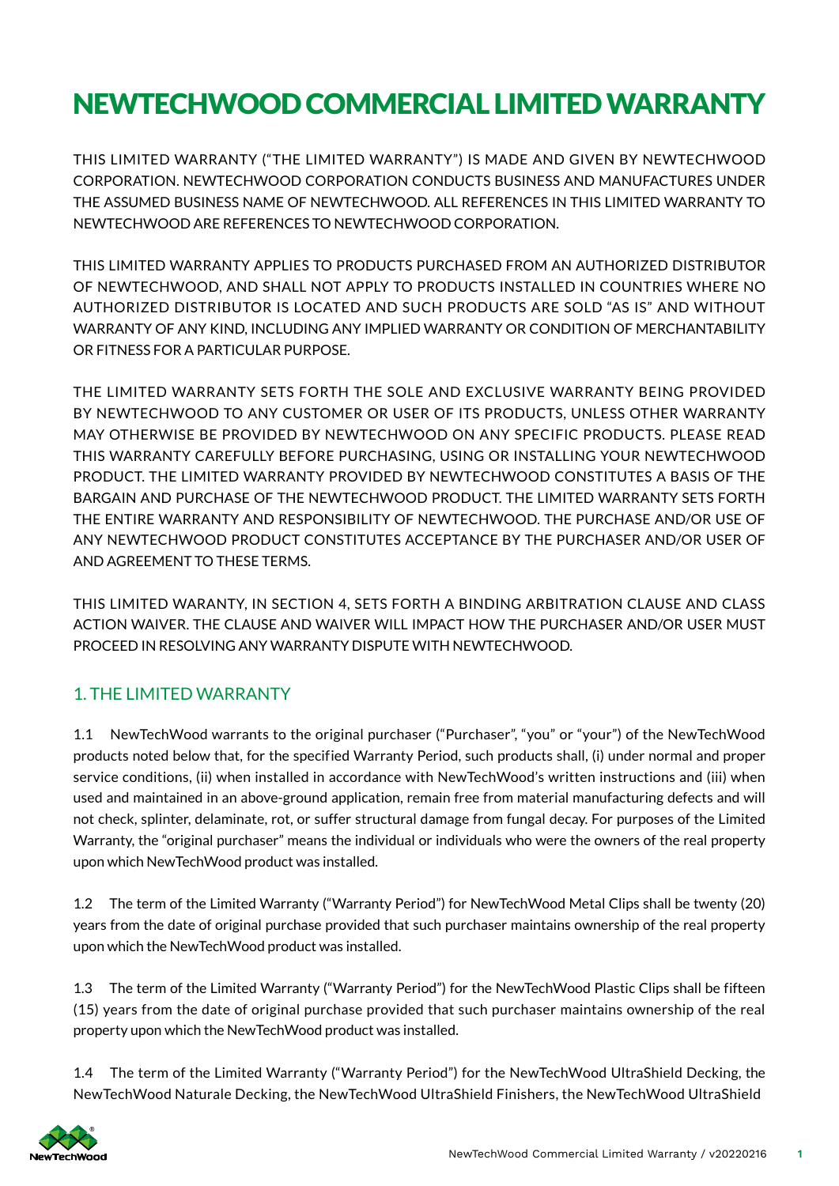# NEWTECHWOOD COMMERCIAL LIMITED WARRANTY

THIS LIMITED WARRANTY ("THE LIMITED WARRANTY") IS MADE AND GIVEN BY NEWTECHWOOD CORPORATION. NEWTECHWOOD CORPORATION CONDUCTS BUSINESS AND MANUFACTURES UNDER THE ASSUMED BUSINESS NAME OF NEWTECHWOOD. ALL REFERENCES IN THIS LIMITED WARRANTY TO NEWTECHWOOD ARE REFERENCES TO NEWTECHWOOD CORPORATION.

THIS LIMITED WARRANTY APPLIES TO PRODUCTS PURCHASED FROM AN AUTHORIZED DISTRIBUTOR OF NEWTECHWOOD, AND SHALL NOT APPLY TO PRODUCTS INSTALLED IN COUNTRIES WHERE NO AUTHORIZED DISTRIBUTOR IS LOCATED AND SUCH PRODUCTS ARE SOLD "AS IS" AND WITHOUT WARRANTY OF ANY KIND, INCLUDING ANY IMPLIED WARRANTY OR CONDITION OF MERCHANTABILITY OR FITNESS FOR A PARTICULAR PURPOSE.

THE LIMITED WARRANTY SETS FORTH THE SOLE AND EXCLUSIVE WARRANTY BEING PROVIDED BY NEWTECHWOOD TO ANY CUSTOMER OR USER OF ITS PRODUCTS, UNLESS OTHER WARRANTY MAY OTHERWISE BE PROVIDED BY NEWTECHWOOD ON ANY SPECIFIC PRODUCTS. PLEASE READ THIS WARRANTY CAREFULLY BEFORE PURCHASING, USING OR INSTALLING YOUR NEWTECHWOOD PRODUCT. THE LIMITED WARRANTY PROVIDED BY NEWTECHWOOD CONSTITUTES A BASIS OF THE BARGAIN AND PURCHASE OF THE NEWTECHWOOD PRODUCT. THE LIMITED WARRANTY SETS FORTH THE ENTIRE WARRANTY AND RESPONSIBILITY OF NEWTECHWOOD. THE PURCHASE AND/OR USE OF ANY NEWTECHWOOD PRODUCT CONSTITUTES ACCEPTANCE BY THE PURCHASER AND/OR USER OF AND AGREEMENT TO THESE TERMS.

THIS LIMITED WARANTY, IN SECTION 4, SETS FORTH A BINDING ARBITRATION CLAUSE AND CLASS ACTION WAIVER. THE CLAUSE AND WAIVER WILL IMPACT HOW THE PURCHASER AND/OR USER MUST PROCEED IN RESOLVING ANY WARRANTY DISPUTE WITH NEWTECHWOOD.

# 1. THE LIMITED WARRANTY

1.1 NewTechWood warrants to the original purchaser ("Purchaser", "you" or "your") of the NewTechWood products noted below that, for the specif ied Warranty Period, such products shall, (i) under normal and proper service conditions, (ii) when installed in accordance with NewTechWood's written instructions and (iii) when used and maintained in an above-ground application, remain free from material manufacturing defects and will not check, splinter, delaminate, rot, or suffer structural damage from fungal decay. For purposes of the Limited Warranty, the "original purchaser" means the individual or individuals who were the owners of the real property upon which NewTechWood product was installed.

1.2 The term of the Limited Warranty ("Warranty Period") for NewTechWood Metal Clips shall be twenty (20) years from the date of original purchase provided that such purchaser maintains ownership of the real property upon which the NewTechWood product was installed.

1.3 The term of the Limited Warranty ("Warranty Period") for the NewTechWood Plastic Clips shall be fifteen (15) years from the date of original purchase provided that such purchaser maintains ownership of the real property upon which the NewTechWood product was installed.

1.4 The term of the Limited Warranty ("Warranty Period") for the NewTechWood UltraShield Decking, the NewTechWood Naturale Decking, the NewTechWood UltraShield Finishers, the NewTechWood UltraShield

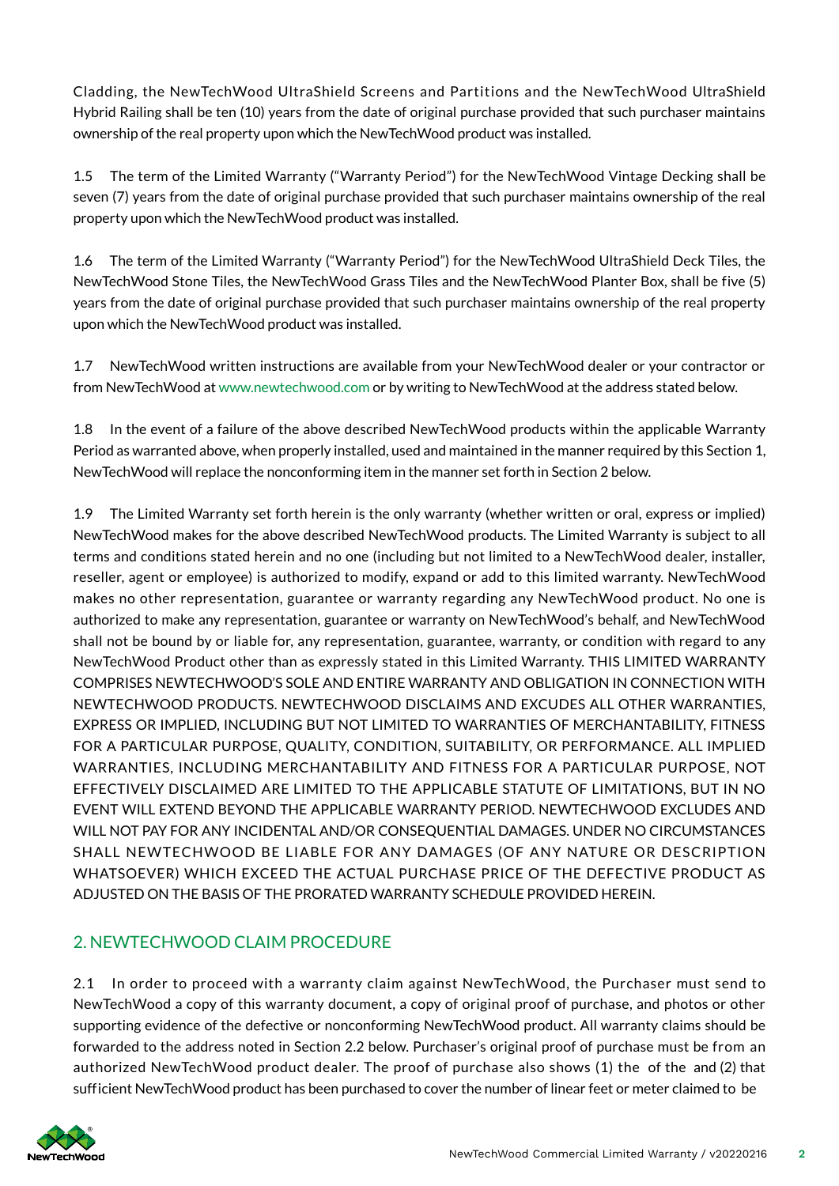Cladding, the NewTechWood UltraShield Screens and Partitions and the NewTechWood UltraShield Hybrid Railing shall be ten (10) years from the date of original purchase provided that such purchaser maintains ownership of the real property upon which the NewTechWood product was installed.

1.5 The term of the Limited Warranty ("Warranty Period") for the NewTechWood Vintage Decking shall be seven (7) years from the date of original purchase provided that such purchaser maintains ownership of the real property upon which the NewTechWood product was installed.

1.6 The term of the Limited Warranty ("Warranty Period") for the NewTechWood UltraShield Deck Tiles, the NewTechWood Stone Tiles, the NewTechWood Grass Tiles and the NewTechWood Planter Box, shall be f ive (5) years from the date of original purchase provided that such purchaser maintains ownership of the real property upon which the NewTechWood product was installed.

1.7 NewTechWood written instructions are available from your NewTechWood dealer or your contractor or from NewTechWood at www.newtechwood.com or by writing to NewTechWood at the address stated below.

1.8 In the event of a failure of the above described NewTechWood products within the applicable Warranty Period as warranted above, when properly installed, used and maintained in the manner required by this Section 1, NewTechWood will replace the nonconforming item in the manner set forth in Section 2 below.

1.9 The Limited Warranty set forth herein is the only warranty (whether written or oral, express or implied) NewTechWood makes for the above described NewTechWood products. The Limited Warranty is subject to all terms and conditions stated herein and no one (including but not limited to a NewTechWood dealer, installer, reseller, agent or employee) is authorized to modify, expand or add to this limited warranty. NewTechWood makes no other representation, guarantee or warranty regarding any NewTechWood product. No one is authorized to make any representation, guarantee or warranty on NewTechWood's behalf, and NewTechWood shall not be bound by or liable for, any representation, guarantee, warranty, or condition with regard to any NewTechWood Product other than as expressly stated in this Limited Warranty. THIS LIMITED WARRANTY COMPRISES NEWTECHWOOD'S SOLE AND ENTIRE WARRANTY AND OBLIGATION IN CONNECTION WITH NEWTECHWOOD PRODUCTS. NEWTECHWOOD DISCLAIMS AND EXCUDES ALL OTHER WARRANTIES, EXPRESS OR IMPLIED, INCLUDING BUT NOT LIMITED TO WARRANTIES OF MERCHANTABILITY, FITNESS FOR A PARTICULAR PURPOSE, QUALITY, CONDITION, SUITABILITY, OR PERFORMANCE. ALL IMPLIED WARRANTIES, INCLUDING MERCHANTABILITY AND FITNESS FOR A PARTICULAR PURPOSE, NOT EFFECTIVELY DISCLAIMED ARE LIMITED TO THE APPLICABLE STATUTE OF LIMITATIONS, BUT IN NO EVENT WILL EXTEND BEYOND THE APPLICABLE WARRANTY PERIOD. NEWTECHWOOD EXCLUDES AND WILL NOT PAY FOR ANY INCIDENTAL AND/OR CONSEQUENTIAL DAMAGES. UNDER NO CIRCUMSTANCES SHALL NEWTECHWOOD BE LIABLE FOR ANY DAMAGES (OF ANY NATURE OR DESCRIPTION WHATSOEVER) WHICH EXCEED THE ACTUAL PURCHASE PRICE OF THE DEFECTIVE PRODUCT AS ADJUSTED ON THE BASIS OF THE PRORATED WARRANTY SCHEDULE PROVIDED HEREIN.

# 2. NEWTECHWOOD CLAIM PROCEDURE

2.1 In order to proceed with a warranty claim against NewTechWood, the Purchaser must send to NewTechWood a copy of this warranty document, a copy of original proof of purchase, and photos or other supporting evidence of the defective or nonconforming NewTechWood product. All warranty claims should be forwarded to the address noted in Section 2.2 below. Purchaser's original proof of purchase must be from an authorized NewTechWood product dealer. The proof of purchase also shows (1) the of the and (2) that sufficient NewTechWood product has been purchased to cover the number of linear feet or meter claimed to be

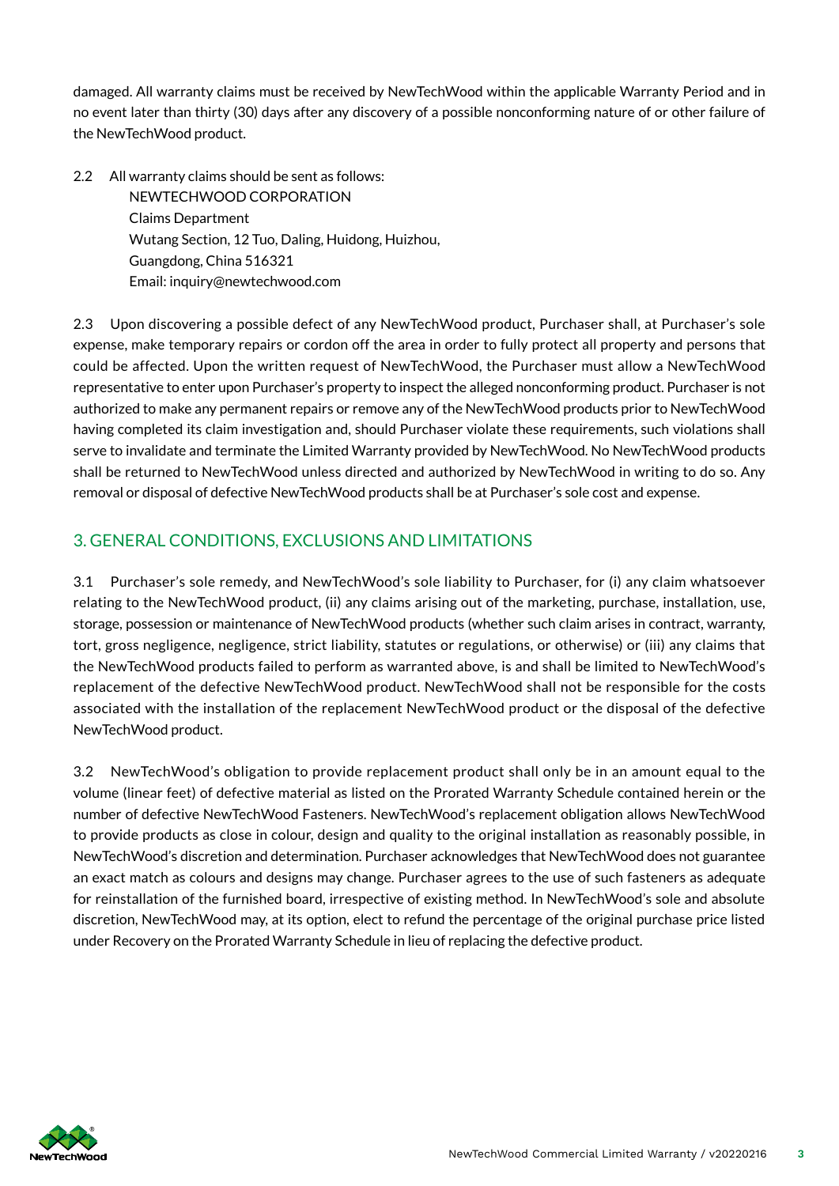damaged. All warranty claims must be received by NewTechWood within the applicable Warranty Period and in no event later than thirty (30) days after any discovery of a possible nonconforming nature of or other failure of the NewTechWood product.

2.2 All warranty claims should be sent as follows: NEWTECHWOOD CORPORATION Claims Department Wutang Section, 12 Tuo, Daling, Huidong, Huizhou, Guangdong, China 516321 Email: inquiry@newtechwood.com

2.3 Upon discovering a possible defect of any NewTechWood product, Purchaser shall, at Purchaser's sole expense, make temporary repairs or cordon off the area in order to fully protect all property and persons that could be affected. Upon the written request of NewTechWood, the Purchaser must allow a NewTechWood representative to enter upon Purchaser's property to inspect the alleged nonconforming product. Purchaser is not authorized to make any permanent repairs or remove any of the NewTechWood products prior to NewTechWood having completed its claim investigation and, should Purchaser violate these requirements, such violations shall serve to invalidate and terminate the Limited Warranty provided by NewTechWood. No NewTechWood products shall be returned to NewTechWood unless directed and authorized by NewTechWood in writing to do so. Any removal or disposal of defective NewTechWood products shall be at Purchaser's sole cost and expense.

### 3. GENERAL CONDITIONS, EXCLUSIONS AND LIMITATIONS

3.1 Purchaser's sole remedy, and NewTechWood's sole liability to Purchaser, for (i) any claim whatsoever relating to the NewTechWood product, (ii) any claims arising out of the marketing, purchase, installation, use, storage, possession or maintenance of NewTechWood products (whether such claim arises in contract, warranty, tort, gross negligence, negligence, strict liability, statutes or regulations, or otherwise) or (iii) any claims that the NewTechWood products failed to perform as warranted above, is and shall be limited to NewTechWood's replacement of the defective NewTechWood product. NewTechWood shall not be responsible for the costs associated with the installation of the replacement NewTechWood product or the disposal of the defective NewTechWood product.

3.2 NewTechWood's obligation to provide replacement product shall only be in an amount equal to the volume (linear feet) of defective material as listed on the Prorated Warranty Schedule contained herein or the number of defective NewTechWood Fasteners. NewTechWood's replacement obligation allows NewTechWood to provide products as close in colour, design and quality to the original installation as reasonably possible, in NewTechWood's discretion and determination. Purchaser acknowledges that NewTechWood does not guarantee an exact match as colours and designs may change. Purchaser agrees to the use of such fasteners as adequate for reinstallation of the furnished board, irrespective of existing method. In NewTechWood's sole and absolute discretion, NewTechWood may, at its option, elect to refund the percentage of the original purchase price listed under Recovery on the Prorated Warranty Schedule in lieu of replacing the defective product.

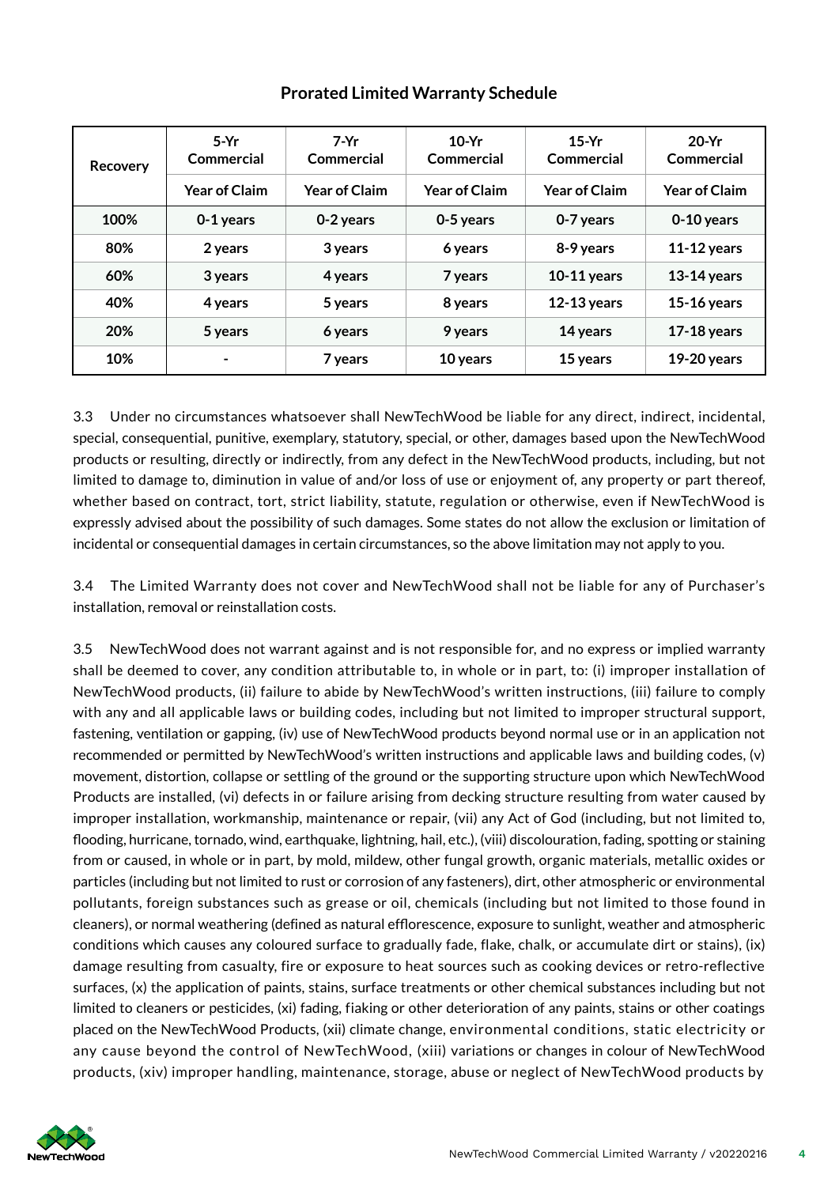| <b>Recovery</b> | $5-Yr$<br>Commercial | $7-Yr$<br>Commercial | $10-Yr$<br>Commercial | $15-Yr$<br>Commercial | $20-Yr$<br>Commercial |
|-----------------|----------------------|----------------------|-----------------------|-----------------------|-----------------------|
|                 | <b>Year of Claim</b> | <b>Year of Claim</b> | <b>Year of Claim</b>  | <b>Year of Claim</b>  | <b>Year of Claim</b>  |
| 100%            | 0-1 years            | 0-2 years            | 0-5 years             | 0-7 years             | 0-10 years            |
| 80%             | 2 years              | 3 years              | 6 years               | 8-9 years             | $11-12$ years         |
| 60%             | 3 years              | 4 years              | 7 years               | $10-11$ years         | $13-14$ years         |
| 40%             | 4 years              | 5 years              | 8 years               | $12-13$ years         | $15-16$ years         |
| 20%             | 5 years              | 6 years              | 9 years               | 14 years              | $17-18$ years         |
| 10%             | $\blacksquare$       | 7 years              | 10 years              | 15 years              | $19-20$ years         |

#### **Prorated Limited Warranty Schedule**

3.3 Under no circumstances whatsoever shall NewTechWood be liable for any direct, indirect, incidental, special, consequential, punitive, exemplary, statutory, special, or other, damages based upon the NewTechWood products or resulting, directly or indirectly, from any defect in the NewTechWood products, including, but not limited to damage to, diminution in value of and/or loss of use or enjoyment of, any property or part thereof, whether based on contract, tort, strict liability, statute, regulation or otherwise, even if NewTechWood is expressly advised about the possibility of such damages. Some states do not allow the exclusion or limitation of incidental or consequential damages in certain circumstances, so the above limitation may not apply to you.

3.4 The Limited Warranty does not cover and NewTechWood shall not be liable for any of Purchaser's installation, removal or reinstallation costs.

3.5 NewTechWood does not warrant against and is not responsible for, and no express or implied warranty shall be deemed to cover, any condition attributable to, in whole or in part, to: (i) improper installation of NewTechWood products, (ii) failure to abide by NewTechWood's written instructions, (iii) failure to comply with any and all applicable laws or building codes, including but not limited to improper structural support, fastening, ventilation or gapping, (iv) use of NewTechWood products beyond normal use or in an application not recommended or permitted by NewTechWood's written instructions and applicable laws and building codes, (v) movement, distortion, collapse or settling of the ground or the supporting structure upon which NewTechWood Products are installed, (vi) defects in or failure arising from decking structure resulting from water caused by improper installation, workmanship, maintenance or repair, (vii) any Act of God (including, but not limited to, flooding, hurricane, tornado, wind, earthquake, lightning, hail, etc.), (viii) discolouration, fading, spotting or staining from or caused, in whole or in part, by mold, mildew, other fungal growth, organic materials, metallic oxides or particles (including but not limited to rust or corrosion of any fasteners), dirt, other atmospheric or environmental pollutants, foreign substances such as grease or oil, chemicals (including but not limited to those found in cleaners), or normal weathering (defined as natural efflorescence, exposure to sunlight, weather and atmospheric conditions which causes any coloured surface to gradually fade, flake, chalk, or accumulate dirt or stains), (ix) damage resulting from casualty, fire or exposure to heat sources such as cooking devices or retro-reflective surfaces, (x) the application of paints, stains, surface treatments or other chemical substances including but not limited to cleaners or pesticides, (xi) fading, fiaking or other deterioration of any paints, stains or other coatings placed on the NewTechWood Products, (xii) climate change, environmental conditions, static electricity or any cause beyond the control of NewTechWood, (xiii) variations or changes in colour of NewTechWood products, (xiv) improper handling, maintenance, storage, abuse or neglect of NewTechWood products by

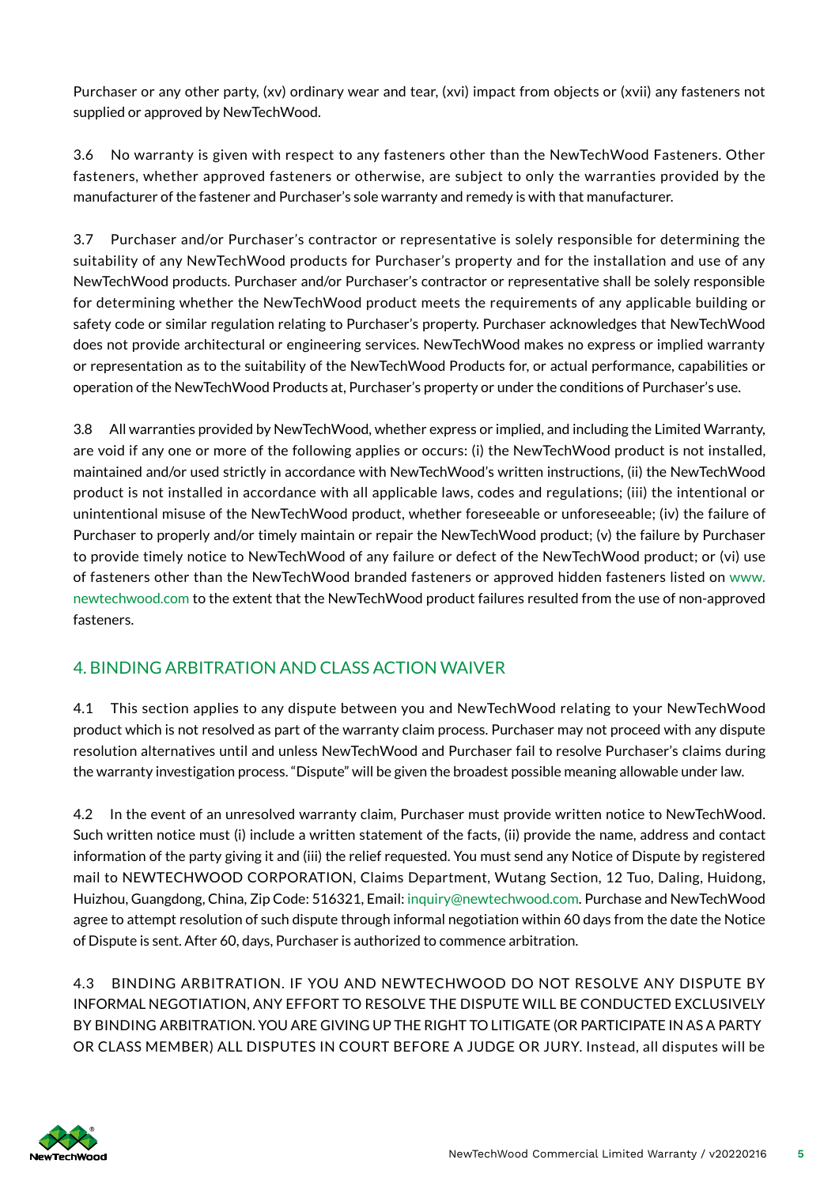Purchaser or any other party, (xv) ordinary wear and tear, (xvi) impact from objects or (xvii) any fasteners not supplied or approved by NewTechWood.

3.6 No warranty is given with respect to any fasteners other than the NewTechWood Fasteners. Other fasteners, whether approved fasteners or otherwise, are subject to only the warranties provided by the manufacturer of the fastener and Purchaser's sole warranty and remedy is with that manufacturer.

3.7 Purchaser and/or Purchaser's contractor or representative is solely responsible for determining the suitability of any NewTechWood products for Purchaser's property and for the installation and use of any NewTechWood products. Purchaser and/or Purchaser's contractor or representative shall be solely responsible for determining whether the NewTechWood product meets the requirements of any applicable building or safety code or similar regulation relating to Purchaser's property. Purchaser acknowledges that NewTechWood does not provide architectural or engineering services. NewTechWood makes no express or implied warranty or representation as to the suitability of the NewTechWood Products for, or actual performance, capabilities or operation of the NewTechWood Products at, Purchaser's property or under the conditions of Purchaser's use.

3.8 All warranties provided by NewTechWood, whether express or implied, and including the Limited Warranty, are void if any one or more of the following applies or occurs: (i) the NewTechWood product is not installed, maintained and/or used strictly in accordance with NewTechWood's written instructions, (ii) the NewTechWood product is not installed in accordance with all applicable laws, codes and regulations; (iii) the intentional or unintentional misuse of the NewTechWood product, whether foreseeable or unforeseeable; (iv) the failure of Purchaser to properly and/or timely maintain or repair the NewTechWood product; (v) the failure by Purchaser to provide timely notice to NewTechWood of any failure or defect of the NewTechWood product; or (vi) use of fasteners other than the NewTechWood branded fasteners or approved hidden fasteners listed on www. newtechwood.com to the extent that the NewTechWood product failures resulted from the use of non-approved fasteners.

# 4. BINDING ARBITRATION AND CLASS ACTION WAIVER

4.1 This section applies to any dispute between you and NewTechWood relating to your NewTechWood product which is not resolved as part of the warranty claim process. Purchaser may not proceed with any dispute resolution alternatives until and unless NewTechWood and Purchaser fail to resolve Purchaser's claims during the warranty investigation process. "Dispute" will be given the broadest possible meaning allowable under law.

4.2 In the event of an unresolved warranty claim, Purchaser must provide written notice to NewTechWood. Such written notice must (i) include a written statement of the facts, (ii) provide the name, address and contact information of the party giving it and (iii) the relief requested. You must send any Notice of Dispute by registered mail to NEWTECHWOOD CORPORATION, Claims Department, Wutang Section, 12 Tuo, Daling, Huidong, Huizhou, Guangdong, China, Zip Code: 516321, Email: inquiry@newtechwood.com. Purchase and NewTechWood agree to attempt resolution of such dispute through informal negotiation within 60 days from the date the Notice of Dispute is sent. After 60, days, Purchaser is authorized to commence arbitration.

4.3 BINDING ARBITRATION. IF YOU AND NEWTECHWOOD DO NOT RESOLVE ANY DISPUTE BY INFORMAL NEGOTIATION, ANY EFFORT TO RESOLVE THE DISPUTE WILL BE CONDUCTED EXCLUSIVELY BY BINDING ARBITRATION. YOU ARE GIVING UP THE RIGHT TO LITIGATE (OR PARTICIPATE IN AS A PARTY OR CLASS MEMBER) ALL DISPUTES IN COURT BEFORE A JUDGE OR JURY. Instead, all disputes will be